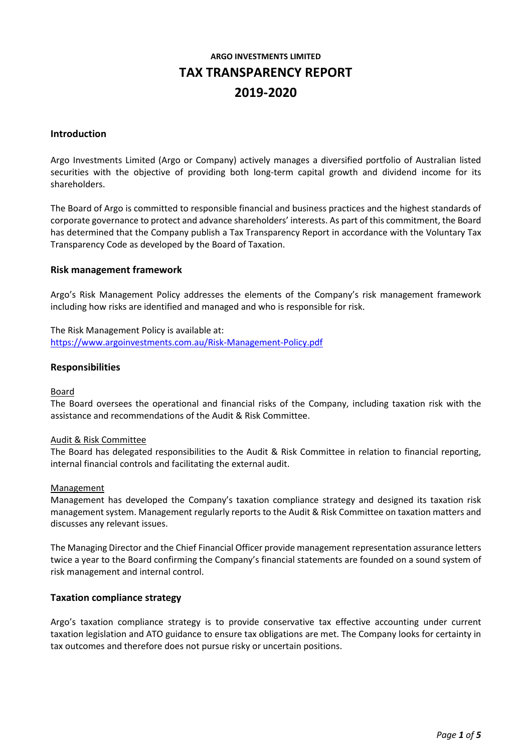# **ARGO INVESTMENTS LIMITED TAX TRANSPARENCY REPORT 2019-2020**

#### **Introduction**

Argo Investments Limited (Argo or Company) actively manages a diversified portfolio of Australian listed securities with the objective of providing both long-term capital growth and dividend income for its shareholders.

The Board of Argo is committed to responsible financial and business practices and the highest standards of corporate governance to protect and advance shareholders' interests. As part of this commitment, the Board has determined that the Company publish a Tax Transparency Report in accordance with the Voluntary Tax Transparency Code as developed by the Board of Taxation.

#### **Risk management framework**

Argo's Risk Management Policy addresses the elements of the Company's risk management framework including how risks are identified and managed and who is responsible for risk.

The Risk Management Policy is available at: [https://www.argoinvestments.com.au/Risk-Management-Policy.pdf](https://www.argoinvestments.com.au/assets/docs/asx-announcements/Risk-Management-Policy-ARG-final-approved-May19.pdf)

#### **Responsibilities**

#### Board

The Board oversees the operational and financial risks of the Company, including taxation risk with the assistance and recommendations of the Audit & Risk Committee.

#### Audit & Risk Committee

The Board has delegated responsibilities to the Audit & Risk Committee in relation to financial reporting, internal financial controls and facilitating the external audit.

#### Management

Management has developed the Company's taxation compliance strategy and designed its taxation risk management system. Management regularly reports to the Audit & Risk Committee on taxation matters and discusses any relevant issues.

The Managing Director and the Chief Financial Officer provide management representation assurance letters twice a year to the Board confirming the Company's financial statements are founded on a sound system of risk management and internal control.

#### **Taxation compliance strategy**

Argo's taxation compliance strategy is to provide conservative tax effective accounting under current taxation legislation and ATO guidance to ensure tax obligations are met. The Company looks for certainty in tax outcomes and therefore does not pursue risky or uncertain positions.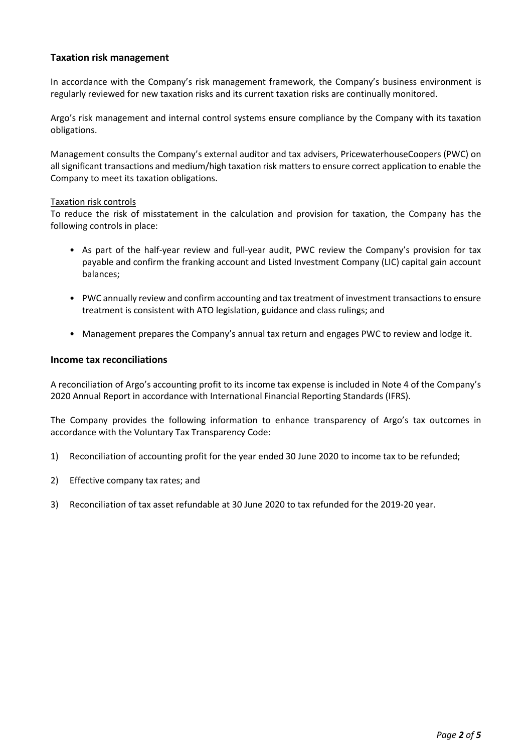## **Taxation risk management**

In accordance with the Company's risk management framework, the Company's business environment is regularly reviewed for new taxation risks and its current taxation risks are continually monitored.

Argo's risk management and internal control systems ensure compliance by the Company with its taxation obligations.

Management consults the Company's external auditor and tax advisers, PricewaterhouseCoopers (PWC) on all significant transactions and medium/high taxation risk matters to ensure correct application to enable the Company to meet its taxation obligations.

#### Taxation risk controls

To reduce the risk of misstatement in the calculation and provision for taxation, the Company has the following controls in place:

- As part of the half-year review and full-year audit, PWC review the Company's provision for tax payable and confirm the franking account and Listed Investment Company (LIC) capital gain account balances;
- PWC annually review and confirm accounting and tax treatment of investment transactions to ensure treatment is consistent with ATO legislation, guidance and class rulings; and
- Management prepares the Company's annual tax return and engages PWC to review and lodge it.

### **Income tax reconciliations**

A reconciliation of Argo's accounting profit to its income tax expense is included in Note 4 of the Company's 2020 Annual Report in accordance with International Financial Reporting Standards (IFRS).

The Company provides the following information to enhance transparency of Argo's tax outcomes in accordance with the Voluntary Tax Transparency Code:

- 1) Reconciliation of accounting profit for the year ended 30 June 2020 to income tax to be refunded;
- 2) Effective company tax rates; and
- 3) Reconciliation of tax asset refundable at 30 June 2020 to tax refunded for the 2019-20 year.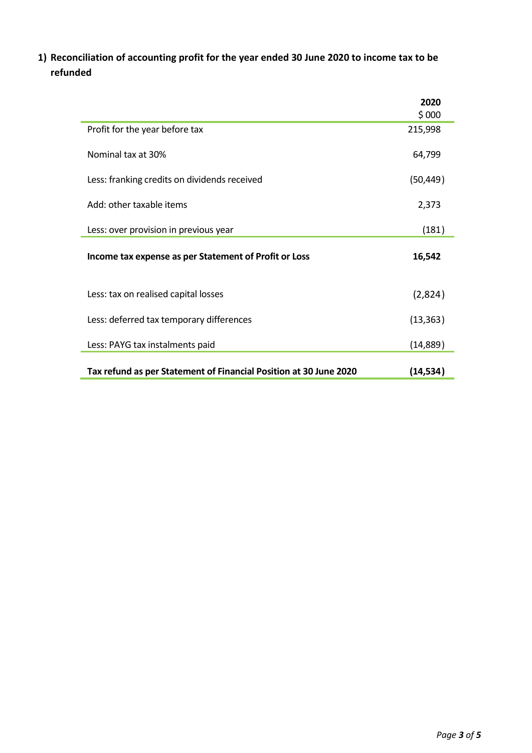**1) Reconciliation of accounting profit for the year ended 30 June 2020 to income tax to be refunded**

|                                                                   | 2020      |
|-------------------------------------------------------------------|-----------|
|                                                                   | \$000     |
| Profit for the year before tax                                    | 215,998   |
| Nominal tax at 30%                                                | 64,799    |
| Less: franking credits on dividends received                      | (50, 449) |
| Add: other taxable items                                          | 2,373     |
| Less: over provision in previous year                             | (181)     |
| Income tax expense as per Statement of Profit or Loss             | 16,542    |
| Less: tax on realised capital losses                              | (2,824)   |
| Less: deferred tax temporary differences                          | (13, 363) |
| Less: PAYG tax instalments paid                                   | (14, 889) |
| Tax refund as per Statement of Financial Position at 30 June 2020 | (14, 534) |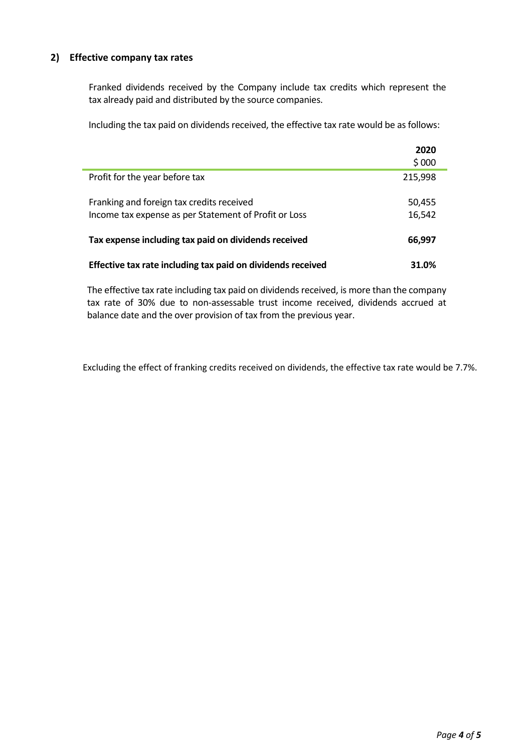## **2) Effective company tax rates**

Franked dividends received by the Company include tax credits which represent the tax already paid and distributed by the source companies.

Including the tax paid on dividends received, the effective tax rate would be as follows:

|                                                             | 2020    |
|-------------------------------------------------------------|---------|
|                                                             | \$000   |
| Profit for the year before tax                              | 215,998 |
| Franking and foreign tax credits received                   | 50,455  |
| Income tax expense as per Statement of Profit or Loss       | 16,542  |
| Tax expense including tax paid on dividends received        | 66,997  |
| Effective tax rate including tax paid on dividends received | 31.0%   |

The effective tax rate including tax paid on dividends received, is more than the company tax rate of 30% due to non-assessable trust income received, dividends accrued at balance date and the over provision of tax from the previous year.

Excluding the effect of franking credits received on dividends, the effective tax rate would be 7.7%.